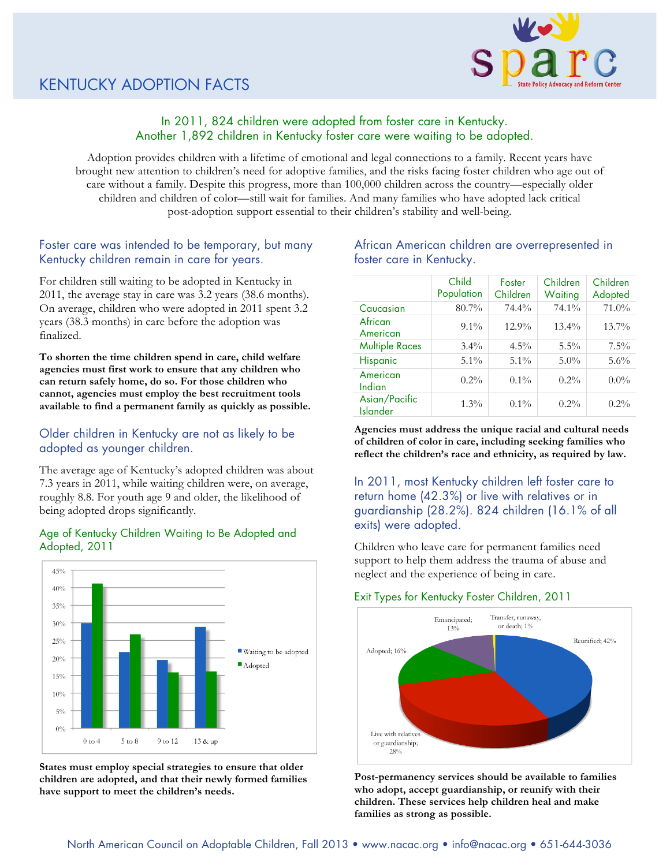

# In 2011, 824 children were adopted from foster care in Kentucky. Another 1,892 children in Kentucky foster care were waiting to be adopted.

Adoption provides children with a lifetime of emotional and legal connections to a family. Recent years have brought new attention to children's need for adoptive families, and the risks facing foster children who age out of care without a family. Despite this progress, more than 100,000 children across the country—especially older children and children of color—still wait for families. And many families who have adopted lack critical post-adoption support essential to their children's stability and well-being.

# Foster care was intended to be temporary, but many Kentucky children remain in care for years.

For children still waiting to be adopted in Kentucky in 2011, the average stay in care was 3.2 years (38.6 months). On average, children who were adopted in 2011 spent 3.2 years (38.3 months) in care before the adoption was finalized.

**To shorten the time children spend in care, child welfare agencies must first work to ensure that any children who can return safely home, do so. For those children who cannot, agencies must employ the best recruitment tools available to find a permanent family as quickly as possible.** 

## Older children in Kentucky are not as likely to be adopted as younger children.

The average age of Kentucky's adopted children was about 7.3 years in 2011, while waiting children were, on average, roughly 8.8. For youth age 9 and older, the likelihood of being adopted drops significantly.

### Age of Kentucky Children Waiting to Be Adopted and Adopted, 2011



**States must employ special strategies to ensure that older children are adopted, and that their newly formed families have support to meet the children's needs.**

## African American children are overrepresented in foster care in Kentucky.

|                                  | Child<br>Population | Foster<br>Children | Children<br>Waiting | Children<br>Adopted |
|----------------------------------|---------------------|--------------------|---------------------|---------------------|
| Caucasian                        | 80.7%               | 74.4%              | 74.1%               | 71.0%               |
| African<br>American              | $9.1\%$             | $12.9\%$           | $13.4\%$            | 13.7%               |
| <b>Multiple Races</b>            | $3.4\%$             | $4.5\%$            | $5.5\%$             | $7.5\%$             |
| <b>Hispanic</b>                  | $5.1\%$             | $5.1\%$            | $5.0\%$             | $5.6\%$             |
| American<br>Indian               | $0.2\%$             | $0.1\%$            | $0.2\%$             | $0.0\%$             |
| Asian/Pacific<br><b>Islander</b> | $1.3\%$             | $0.1\%$            | $0.2\%$             | $0.2\%$             |

**Agencies must address the unique racial and cultural needs of children of color in care, including seeking families who reflect the children's race and ethnicity, as required by law.**

In 2011, most Kentucky children left foster care to return home (42.3%) or live with relatives or in guardianship (28.2%). 824 children (16.1% of all exits) were adopted.

Children who leave care for permanent families need support to help them address the trauma of abuse and neglect and the experience of being in care.

#### Exit Types for Kentucky Foster Children, 2011



**Post-permanency services should be available to families who adopt, accept guardianship, or reunify with their children. These services help children heal and make families as strong as possible.**